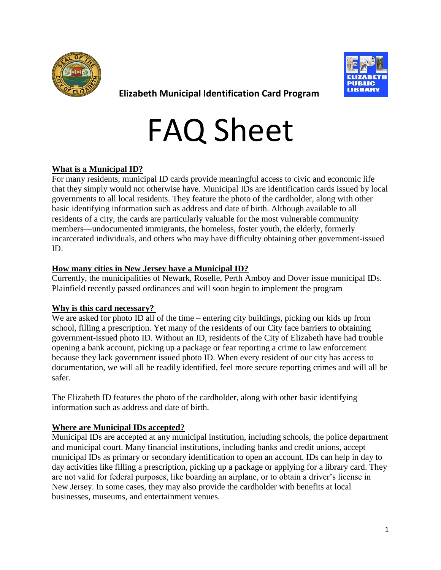



**Elizabeth Municipal Identification Card Program**

# FAQ Sheet

# **What is a Municipal ID?**

For many residents, municipal ID cards provide meaningful access to civic and economic life that they simply would not otherwise have. Municipal IDs are identification cards issued by local governments to all local residents. They feature the photo of the cardholder, along with other basic identifying information such as address and date of birth. Although available to all residents of a city, the cards are particularly valuable for the most vulnerable community members—undocumented immigrants, the homeless, foster youth, the elderly, formerly incarcerated individuals, and others who may have difficulty obtaining other government-issued ID.

# **How many cities in New Jersey have a Municipal ID?**

Currently, the municipalities of Newark, Roselle, Perth Amboy and Dover issue municipal IDs. Plainfield recently passed ordinances and will soon begin to implement the program

# **Why is this card necessary?**

We are asked for photo ID all of the time – entering city buildings, picking our kids up from school, filling a prescription. Yet many of the residents of our City face barriers to obtaining government-issued photo ID. Without an ID, residents of the City of Elizabeth have had trouble opening a bank account, picking up a package or fear reporting a crime to law enforcement because they lack government issued photo ID. When every resident of our city has access to documentation, we will all be readily identified, feel more secure reporting crimes and will all be safer.

The Elizabeth ID features the photo of the cardholder, along with other basic identifying information such as address and date of birth.

# **Where are Municipal IDs accepted?**

Municipal IDs are accepted at any municipal institution, including schools, the police department and municipal court. Many financial institutions, including banks and credit unions, accept municipal IDs as primary or secondary identification to open an account. IDs can help in day to day activities like filling a prescription, picking up a package or applying for a library card. They are not valid for federal purposes, like boarding an airplane, or to obtain a driver's license in New Jersey. In some cases, they may also provide the cardholder with benefits at local businesses, museums, and entertainment venues.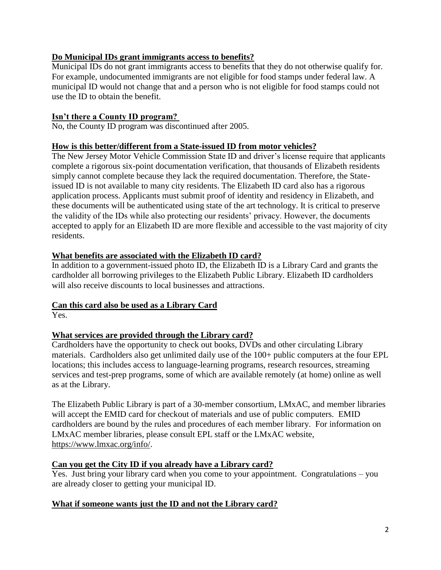# **Do Municipal IDs grant immigrants access to benefits?**

Municipal IDs do not grant immigrants access to benefits that they do not otherwise qualify for. For example, undocumented immigrants are not eligible for food stamps under federal law. A municipal ID would not change that and a person who is not eligible for food stamps could not use the ID to obtain the benefit.

# **Isn't there a County ID program?**

No, the County ID program was discontinued after 2005.

### **How is this better/different from a State-issued ID from motor vehicles?**

The New Jersey Motor Vehicle Commission State ID and driver's license require that applicants complete a rigorous six-point documentation verification, that thousands of Elizabeth residents simply cannot complete because they lack the required documentation. Therefore, the Stateissued ID is not available to many city residents. The Elizabeth ID card also has a rigorous application process. Applicants must submit proof of identity and residency in Elizabeth, and these documents will be authenticated using state of the art technology. It is critical to preserve the validity of the IDs while also protecting our residents' privacy. However, the documents accepted to apply for an Elizabeth ID are more flexible and accessible to the vast majority of city residents.

#### **What benefits are associated with the Elizabeth ID card?**

In addition to a government-issued photo ID, the Elizabeth ID is a Library Card and grants the cardholder all borrowing privileges to the Elizabeth Public Library. Elizabeth ID cardholders will also receive discounts to local businesses and attractions.

# **Can this card also be used as a Library Card**

Yes.

### **What services are provided through the Library card?**

Cardholders have the opportunity to check out books, DVDs and other circulating Library materials. Cardholders also get unlimited daily use of the 100+ public computers at the four EPL locations; this includes access to language-learning programs, research resources, streaming services and test-prep programs, some of which are available remotely (at home) online as well as at the Library.

The Elizabeth Public Library is part of a 30-member consortium, LMxAC, and member libraries will accept the EMID card for checkout of materials and use of public computers. EMID cardholders are bound by the rules and procedures of each member library. For information on LMxAC member libraries, please consult EPL staff or the LMxAC website, [https://www.lmxac.org/info/.](https://www.lmxac.org/info/)

### **Can you get the City ID if you already have a Library card?**

Yes. Just bring your library card when you come to your appointment. Congratulations – you are already closer to getting your municipal ID.

### **What if someone wants just the ID and not the Library card?**